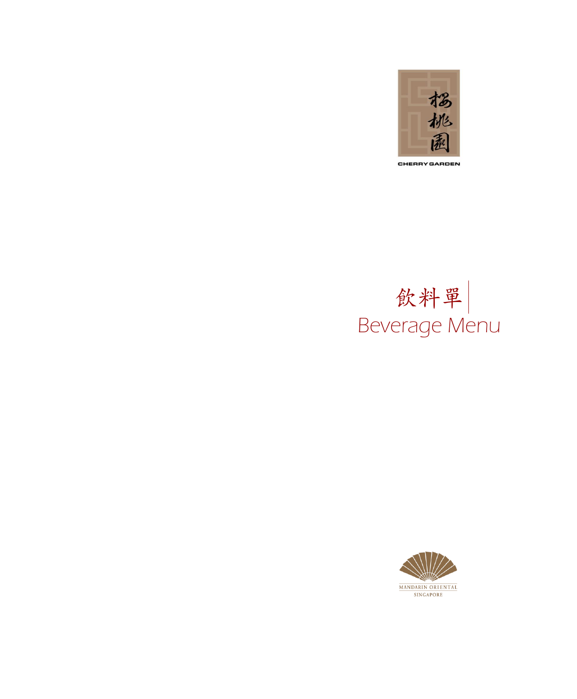

**CHERRY GARDEN** 

# 饮料单 Beverage Menu

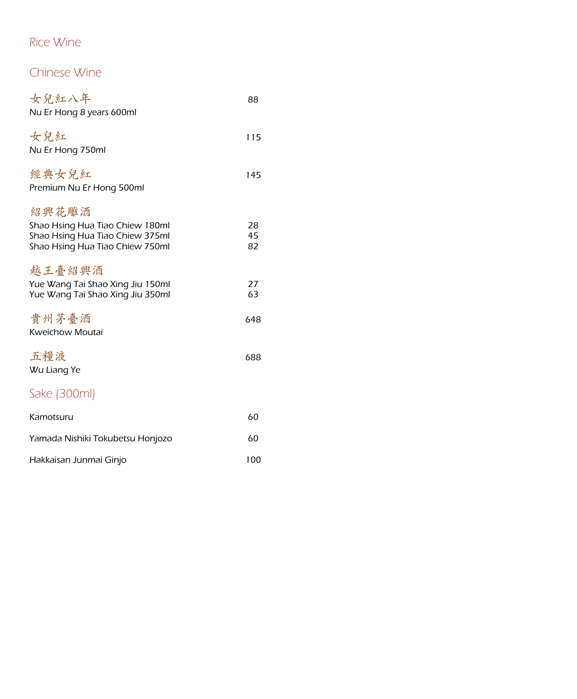### Rice Wine

### Chinese Wine

| 女兒紅八年<br>Nu Er Hong 8 years 600ml                                                                              | 88             |
|----------------------------------------------------------------------------------------------------------------|----------------|
| 女兒紅<br>Nu Er Hong 750ml                                                                                        | 115            |
| 經典女兒紅<br>Premium Nu Er Hong 500ml                                                                              | 145            |
| 紹興花雕酒<br>Shao Hsing Hua Tiao Chiew 180ml<br>Shao Hsing Hua Tiao Chiew 375ml<br>Shao Hsing Hua Tiao Chiew 750ml | 28<br>45<br>82 |
| 越王臺紹興酒<br>Yue Wang Tai Shao Xing Jiu 150ml<br>Yue Wang Tai Shao Xing Jiu 350ml                                 | 27<br>63       |
| 貴州茅臺酒<br>Kweichow Moutai                                                                                       | 648            |
| 五糧液<br>Wu Liang Ye                                                                                             | 688            |
| Sake (300ml)                                                                                                   |                |
| Kamotsuru                                                                                                      | 60             |
| Yamada Nishiki Tokubetsu Honjozo                                                                               | 60             |
| Hakkaisan Junmai Ginjo                                                                                         | 100            |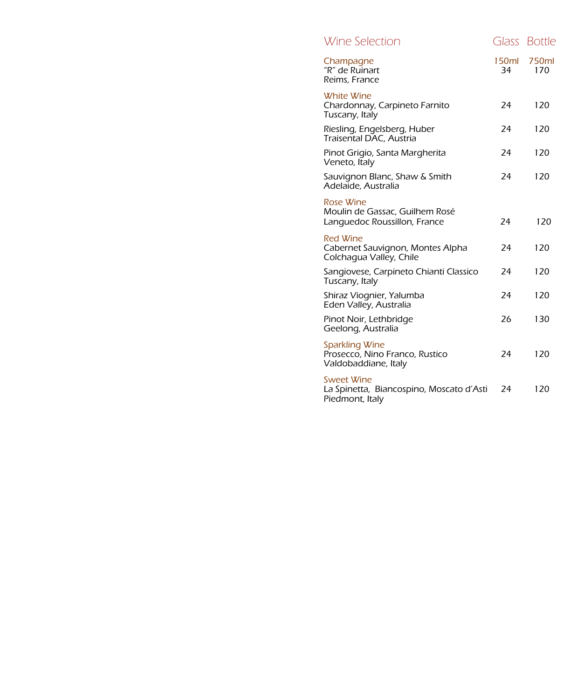| <b>Wine Selection</b>                                                            |             | Glass Bottle |
|----------------------------------------------------------------------------------|-------------|--------------|
| Champagne<br>"R" de Ruinart<br>Reims, France                                     | 150ml<br>34 | 750ml<br>170 |
| White Wine<br>Chardonnay, Carpineto Farnito<br>Tuscany, Italy                    | 24          | 120          |
| Riesling, Engelsberg, Huber<br>Traisental DAC, Austria                           | 24          | 120          |
| Pinot Grigio, Santa Margherita<br>Veneto, Italy                                  | 24          | 120          |
| Sauvignon Blanc, Shaw & Smith<br>Adelaide, Australia                             | 24          | 120          |
| Rose Wine<br>Moulin de Gassac, Guilhem Rosé<br>Languedoc Roussillon, France      | 24          | 120          |
| <b>Red Wine</b><br>Cabernet Sauvignon, Montes Alpha<br>Colchaqua Valley, Chile   | 24          | 120          |
| Sangiovese, Carpineto Chianti Classico<br>Tuscany, Italy                         | 24          | 120          |
| Shiraz Viognier, Yalumba<br>Eden Valley, Australia                               | 24          | 120          |
| Pinot Noir, Lethbridge<br>Geelong, Australia                                     | 26          | 130          |
| <b>Sparkling Wine</b><br>Prosecco, Nino Franco, Rustico<br>Valdobaddiane, Italy  | 24          | 120          |
| <b>Sweet Wine</b><br>La Spinetta, Biancospino, Moscato d'Asti<br>Piedmont, Italy | 24          | 120          |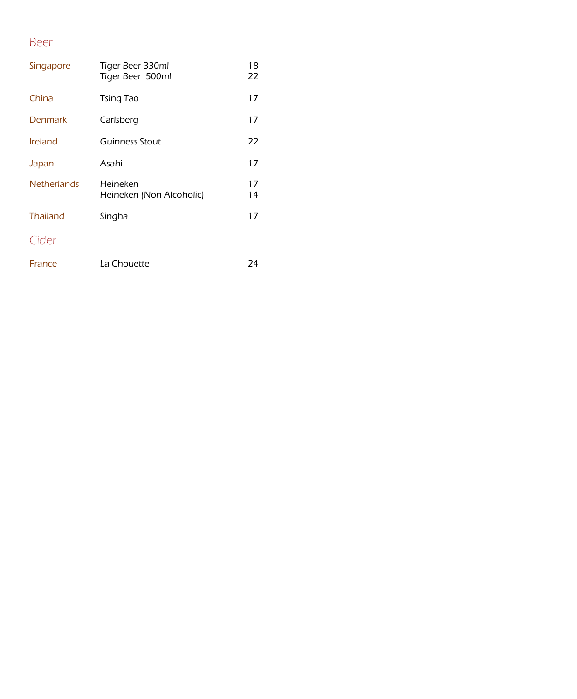# Beer

| Singapore          | Tiger Beer 330ml<br>Tiger Beer 500ml | 18<br>22 |
|--------------------|--------------------------------------|----------|
| China              | <b>Tsing Tao</b>                     | 17       |
| <b>Denmark</b>     | Carlsberg                            | 17       |
| Ireland            | <b>Guinness Stout</b>                | 22       |
| Japan              | Asahi                                | 17       |
| <b>Netherlands</b> | Heineken<br>Heineken (Non Alcoholic) | 17<br>14 |
| <b>Thailand</b>    | Singha                               | 17       |
| Cider              |                                      |          |
| France             | La Chouette                          | 24       |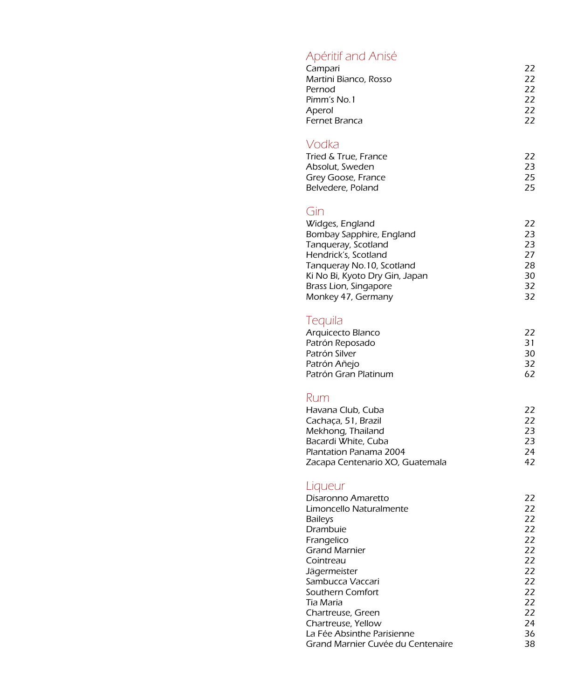# Apéritif and Anisé

| Campari               | 22. |
|-----------------------|-----|
| Martini Bianco, Rosso | 22. |
| Pernod                | 22. |
| Pimm's No.1           | 22. |
| Aperol                | 22. |
| Fernet Branca         | 22. |
|                       |     |

# Vodka<br>Tried f. T

| Tried & True, France | 22. |
|----------------------|-----|
| Absolut, Sweden.     | 23. |
| Grey Goose, France   | 25. |
| Belvedere, Poland    | 25  |

# Gin

| Widges, England                | 22 |
|--------------------------------|----|
| Bombay Sapphire, England       | 23 |
| Tangueray, Scotland            | 23 |
| Hendrick's, Scotland           | 27 |
| Tangueray No.10, Scotland      | 28 |
| Ki No Bi, Kyoto Dry Gin, Japan | 30 |
| Brass Lion, Singapore          | 32 |
| Monkey 47, Germany             | 32 |
|                                |    |

# Tequila

| Arquicecto Blanco    | 77 |
|----------------------|----|
| Patrón Reposado      | 31 |
| Patrón Silver        | 30 |
| Patrón Añejo         | 32 |
| Patrón Gran Platinum | 62 |

### Rum

| Havana Club, Cuba               | 77 |
|---------------------------------|----|
| Cachaca, 51, Brazil             | 22 |
| Mekhong, Thailand               | 23 |
| Bacardi White, Cuba             | 23 |
| Plantation Panama 2004          | 24 |
| Zacapa Centenario XO, Guatemala | 42 |
|                                 |    |

#### Liqueur

| Disaronno Amaretto                | 22 |
|-----------------------------------|----|
| Limoncello Naturalmente           | 22 |
| <b>Baileys</b>                    | 22 |
| Drambuie                          | 22 |
| Frangelico                        | 22 |
| <b>Grand Marnier</b>              | 22 |
| Cointreau                         | 22 |
| Jägermeister                      | 22 |
| Sambucca Vaccari                  | 22 |
| Southern Comfort                  | 22 |
| Tia Maria                         | 22 |
| Chartreuse, Green                 | 22 |
| Chartreuse, Yellow                | 24 |
| La Fée Absinthe Parisienne        | 36 |
| Grand Marnier Cuvée du Centenaire | 38 |
|                                   |    |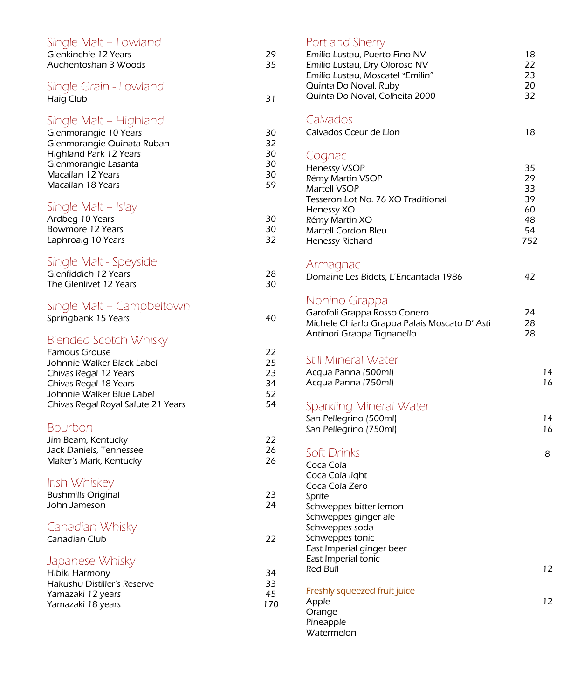| Single Malt – Lowland              |     | Port and Sherry                               |     |
|------------------------------------|-----|-----------------------------------------------|-----|
| Glenkinchie 12 Years               | 29  | Emilio Lustau, Puerto Fino NV                 | 18  |
| Auchentoshan 3 Woods               | 35  | Emilio Lustau, Dry Oloroso NV                 | 22  |
|                                    |     | Emilio Lustau, Moscatel "Emilin"              | 23  |
| Single Grain - Lowland             |     | Quinta Do Noval, Ruby                         | 20  |
| Haig Club                          | 31  | Quinta Do Noval, Colheita 2000                | 32  |
|                                    |     |                                               |     |
| Single Malt – Highland             |     | Calvados                                      |     |
| Glenmorangie 10 Years              | 30  | Calvados Cœur de Lion                         | 18  |
| Glenmorangie Quinata Ruban         | 32  |                                               |     |
| <b>Highland Park 12 Years</b>      | 30  |                                               |     |
| Glenmorangie Lasanta               | 30  | Cognac                                        |     |
| Macallan 12 Years                  | 30  | <b>Henessy VSOP</b>                           | 35  |
| Macallan 18 Years                  | 59  | Rémy Martin VSOP                              | 29  |
|                                    |     | Martell VSOP                                  | 33  |
|                                    |     | Tesseron Lot No. 76 XO Traditional            | 39  |
| Single Malt – Islay                |     | Henessy XO                                    | 60  |
| Ardbeg 10 Years                    | 30  | Rémy Martin XO                                | 48  |
| Bowmore 12 Years                   | 30  | Martell Cordon Bleu                           | 54  |
| Laphroaig 10 Years                 | 32  | <b>Henessy Richard</b>                        | 752 |
|                                    |     |                                               |     |
| Single Malt - Speyside             |     | Armagnac                                      |     |
| Glenfiddich 12 Years               | 28  | Domaine Les Bidets, L'Encantada 1986          | 42  |
| The Glenlivet 12 Years             | 30  |                                               |     |
| Single Malt - Campbeltown          |     | Nonino Grappa                                 |     |
|                                    |     | Garofoli Grappa Rosso Conero                  | 24  |
| Springbank 15 Years                | 40  | Michele Chiarlo Grappa Palais Moscato D' Asti | 28  |
|                                    |     | Antinori Grappa Tignanello                    | 28  |
| Blended Scotch Whisky              |     |                                               |     |
| <b>Famous Grouse</b>               | 22  |                                               |     |
| Johnnie Walker Black Label         | 25  | <b>Still Mineral Water</b>                    |     |
| Chivas Regal 12 Years              | 23  | Acqua Panna (500ml)                           | 14  |
| Chivas Regal 18 Years              | 34  | Acqua Panna (750ml)                           | 16  |
| Johnnie Walker Blue Label          | 52  |                                               |     |
| Chivas Regal Royal Salute 21 Years | 54  | Sparkling Mineral Water                       |     |
|                                    |     | San Pellegrino (500ml)                        | 14  |
| <b>Bourbon</b>                     |     | San Pellegrino (750ml)                        | 16  |
| Jim Beam, Kentucky                 | 22  |                                               |     |
|                                    |     |                                               |     |
| Jack Daniels, Tennessee            | 26  | Soft Drinks                                   | 8   |
| Maker's Mark, Kentucky             | 26  | Coca Cola                                     |     |
|                                    |     | Coca Cola light                               |     |
| Irish Whiskey                      |     | Coca Cola Zero                                |     |
| <b>Bushmills Original</b>          | 23  | Sprite                                        |     |
| John Jameson                       | 24  | Schweppes bitter lemon                        |     |
|                                    |     | Schweppes ginger ale                          |     |
| Canadian Whisky                    |     | Schweppes soda                                |     |
| Canadian Club                      | 22  | Schweppes tonic                               |     |
|                                    |     | East Imperial ginger beer                     |     |
| Japanese Whisky                    |     | East Imperial tonic                           |     |
|                                    |     | Red Bull                                      | 12  |
| Hibiki Harmony                     | 34  |                                               |     |
| Hakushu Distiller's Reserve        | 33  | Freshly squeezed fruit juice                  |     |
| Yamazaki 12 years                  | 45  |                                               | 12  |
| Yamazaki 18 years                  | 170 | Apple                                         |     |
|                                    |     | Orange                                        |     |
|                                    |     | Pineapple                                     |     |
|                                    |     | Watermelon                                    |     |